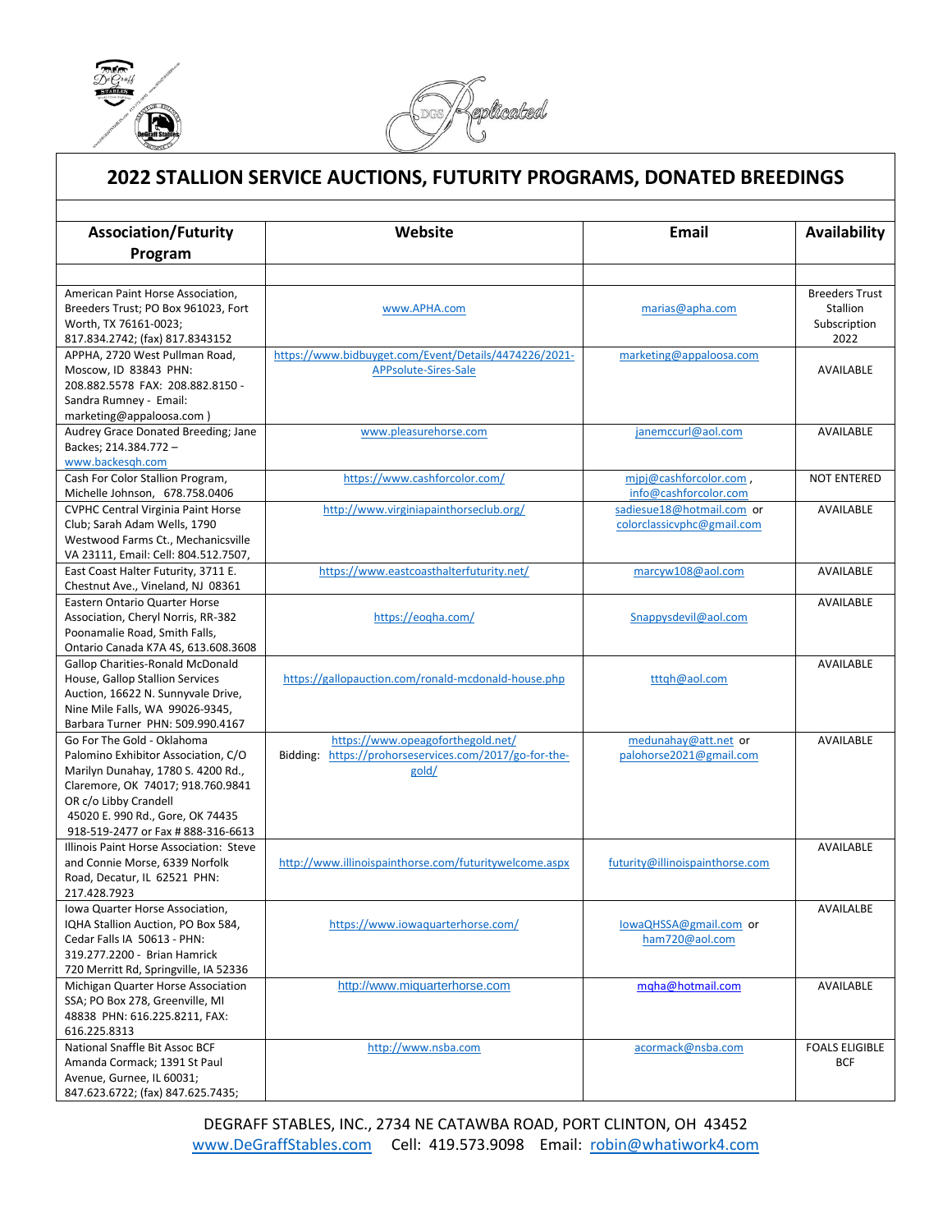

 $\overline{a}$ 



## **2022 STALLION SERVICE AUCTIONS, FUTURITY PROGRAMS, DONATED BREEDINGS**

| Program<br><b>Breeders Trust</b><br>American Paint Horse Association,<br>Breeders Trust; PO Box 961023, Fort<br>Stallion<br>marias@apha.com<br>www.APHA.com<br>Worth, TX 76161-0023;<br>Subscription<br>817.834.2742; (fax) 817.8343152<br>2022<br>https://www.bidbuyget.com/Event/Details/4474226/2021-<br>APPHA, 2720 West Pullman Road,<br>marketing@appaloosa.com<br>Moscow, ID 83843 PHN:<br>APPsolute-Sires-Sale<br>AVAILABLE<br>208.882.5578 FAX: 208.882.8150 -<br>Sandra Rumney - Email:<br>marketing@appaloosa.com)<br>Audrey Grace Donated Breeding; Jane<br>www.pleasurehorse.com<br>janemccurl@aol.com<br><b>AVAILABLE</b><br>Backes; 214.384.772 -<br>www.backesgh.com<br>https://www.cashforcolor.com/<br>Cash For Color Stallion Program,<br>mipj@cashforcolor.com,<br><b>NOT ENTERED</b><br>Michelle Johnson, 678.758.0406<br>info@cashforcolor.com<br><b>CVPHC Central Virginia Paint Horse</b><br>http://www.virginiapainthorseclub.org/<br>sadiesue18@hotmail.com or<br><b>AVAILABLE</b><br>Club; Sarah Adam Wells, 1790<br>colorclassicvphc@gmail.com<br>Westwood Farms Ct., Mechanicsville<br>VA 23111, Email: Cell: 804.512.7507,<br>https://www.eastcoasthalterfuturity.net/<br>East Coast Halter Futurity, 3711 E.<br>marcyw108@aol.com<br><b>AVAILABLE</b><br>Chestnut Ave., Vineland, NJ 08361<br>Eastern Ontario Quarter Horse<br><b>AVAILABLE</b><br>Association, Cheryl Norris, RR-382<br>https://eogha.com/<br>Snappysdevil@aol.com<br>Poonamalie Road, Smith Falls,<br>Ontario Canada K7A 4S, 613.608.3608<br><b>AVAILABLE</b><br><b>Gallop Charities-Ronald McDonald</b><br>House, Gallop Stallion Services<br>https://gallopauction.com/ronald-mcdonald-house.php<br>tttqh@aol.com<br>Auction, 16622 N. Sunnyvale Drive,<br>Nine Mile Falls, WA 99026-9345,<br>Barbara Turner PHN: 509.990.4167<br>Go For The Gold - Oklahoma<br>https://www.opeagoforthegold.net/<br>medunahay@att.net or<br>AVAILABLE<br>Bidding: https://prohorseservices.com/2017/go-for-the-<br>Palomino Exhibitor Association, C/O<br>palohorse2021@gmail.com<br>Marilyn Dunahay, 1780 S. 4200 Rd.,<br>gold/<br>Claremore, OK 74017; 918.760.9841<br>OR c/o Libby Crandell<br>45020 E. 990 Rd., Gore, OK 74435<br>918-519-2477 or Fax # 888-316-6613<br>Illinois Paint Horse Association: Steve<br>AVAILABLE<br>http://www.illinoispainthorse.com/futuritywelcome.aspx<br>and Connie Morse, 6339 Norfolk<br>futurity@illinoispainthorse.com<br>Road, Decatur, IL 62521 PHN:<br>217.428.7923<br>lowa Quarter Horse Association,<br>AVAILALBE<br>https://www.iowaguarterhorse.com/<br>IQHA Stallion Auction, PO Box 584,<br>lowaQHSSA@gmail.com or<br>Cedar Falls IA 50613 - PHN:<br>ham720@aol.com<br>319.277.2200 - Brian Hamrick<br>720 Merritt Rd, Springville, IA 52336<br>http://www.miquarterhorse.com<br>Michigan Quarter Horse Association<br>mgha@hotmail.com<br>AVAILABLE<br>SSA; PO Box 278, Greenville, MI<br>48838 PHN: 616.225.8211, FAX:<br>616.225.8313<br>National Snaffle Bit Assoc BCF<br>http://www.nsba.com<br>acormack@nsba.com<br><b>FOALS ELIGIBLE</b><br>Amanda Cormack; 1391 St Paul<br><b>BCF</b><br>Avenue, Gurnee, IL 60031;<br>847.623.6722; (fax) 847.625.7435; |                             |         |       |                     |
|-------------------------------------------------------------------------------------------------------------------------------------------------------------------------------------------------------------------------------------------------------------------------------------------------------------------------------------------------------------------------------------------------------------------------------------------------------------------------------------------------------------------------------------------------------------------------------------------------------------------------------------------------------------------------------------------------------------------------------------------------------------------------------------------------------------------------------------------------------------------------------------------------------------------------------------------------------------------------------------------------------------------------------------------------------------------------------------------------------------------------------------------------------------------------------------------------------------------------------------------------------------------------------------------------------------------------------------------------------------------------------------------------------------------------------------------------------------------------------------------------------------------------------------------------------------------------------------------------------------------------------------------------------------------------------------------------------------------------------------------------------------------------------------------------------------------------------------------------------------------------------------------------------------------------------------------------------------------------------------------------------------------------------------------------------------------------------------------------------------------------------------------------------------------------------------------------------------------------------------------------------------------------------------------------------------------------------------------------------------------------------------------------------------------------------------------------------------------------------------------------------------------------------------------------------------------------------------------------------------------------------------------------------------------------------------------------------------------------------------------------------------------------------------------------------------------------------------------------------------------------------------------------------------------------------------------------------------------------------------------------------------------------------------------------------------------------------------------------------------------------------------------------------------------------------------------------------|-----------------------------|---------|-------|---------------------|
|                                                                                                                                                                                                                                                                                                                                                                                                                                                                                                                                                                                                                                                                                                                                                                                                                                                                                                                                                                                                                                                                                                                                                                                                                                                                                                                                                                                                                                                                                                                                                                                                                                                                                                                                                                                                                                                                                                                                                                                                                                                                                                                                                                                                                                                                                                                                                                                                                                                                                                                                                                                                                                                                                                                                                                                                                                                                                                                                                                                                                                                                                                                                                                                                       | <b>Association/Futurity</b> | Website | Email | <b>Availability</b> |
|                                                                                                                                                                                                                                                                                                                                                                                                                                                                                                                                                                                                                                                                                                                                                                                                                                                                                                                                                                                                                                                                                                                                                                                                                                                                                                                                                                                                                                                                                                                                                                                                                                                                                                                                                                                                                                                                                                                                                                                                                                                                                                                                                                                                                                                                                                                                                                                                                                                                                                                                                                                                                                                                                                                                                                                                                                                                                                                                                                                                                                                                                                                                                                                                       |                             |         |       |                     |
|                                                                                                                                                                                                                                                                                                                                                                                                                                                                                                                                                                                                                                                                                                                                                                                                                                                                                                                                                                                                                                                                                                                                                                                                                                                                                                                                                                                                                                                                                                                                                                                                                                                                                                                                                                                                                                                                                                                                                                                                                                                                                                                                                                                                                                                                                                                                                                                                                                                                                                                                                                                                                                                                                                                                                                                                                                                                                                                                                                                                                                                                                                                                                                                                       |                             |         |       |                     |
|                                                                                                                                                                                                                                                                                                                                                                                                                                                                                                                                                                                                                                                                                                                                                                                                                                                                                                                                                                                                                                                                                                                                                                                                                                                                                                                                                                                                                                                                                                                                                                                                                                                                                                                                                                                                                                                                                                                                                                                                                                                                                                                                                                                                                                                                                                                                                                                                                                                                                                                                                                                                                                                                                                                                                                                                                                                                                                                                                                                                                                                                                                                                                                                                       |                             |         |       |                     |
|                                                                                                                                                                                                                                                                                                                                                                                                                                                                                                                                                                                                                                                                                                                                                                                                                                                                                                                                                                                                                                                                                                                                                                                                                                                                                                                                                                                                                                                                                                                                                                                                                                                                                                                                                                                                                                                                                                                                                                                                                                                                                                                                                                                                                                                                                                                                                                                                                                                                                                                                                                                                                                                                                                                                                                                                                                                                                                                                                                                                                                                                                                                                                                                                       |                             |         |       |                     |
|                                                                                                                                                                                                                                                                                                                                                                                                                                                                                                                                                                                                                                                                                                                                                                                                                                                                                                                                                                                                                                                                                                                                                                                                                                                                                                                                                                                                                                                                                                                                                                                                                                                                                                                                                                                                                                                                                                                                                                                                                                                                                                                                                                                                                                                                                                                                                                                                                                                                                                                                                                                                                                                                                                                                                                                                                                                                                                                                                                                                                                                                                                                                                                                                       |                             |         |       |                     |
|                                                                                                                                                                                                                                                                                                                                                                                                                                                                                                                                                                                                                                                                                                                                                                                                                                                                                                                                                                                                                                                                                                                                                                                                                                                                                                                                                                                                                                                                                                                                                                                                                                                                                                                                                                                                                                                                                                                                                                                                                                                                                                                                                                                                                                                                                                                                                                                                                                                                                                                                                                                                                                                                                                                                                                                                                                                                                                                                                                                                                                                                                                                                                                                                       |                             |         |       |                     |
|                                                                                                                                                                                                                                                                                                                                                                                                                                                                                                                                                                                                                                                                                                                                                                                                                                                                                                                                                                                                                                                                                                                                                                                                                                                                                                                                                                                                                                                                                                                                                                                                                                                                                                                                                                                                                                                                                                                                                                                                                                                                                                                                                                                                                                                                                                                                                                                                                                                                                                                                                                                                                                                                                                                                                                                                                                                                                                                                                                                                                                                                                                                                                                                                       |                             |         |       |                     |
|                                                                                                                                                                                                                                                                                                                                                                                                                                                                                                                                                                                                                                                                                                                                                                                                                                                                                                                                                                                                                                                                                                                                                                                                                                                                                                                                                                                                                                                                                                                                                                                                                                                                                                                                                                                                                                                                                                                                                                                                                                                                                                                                                                                                                                                                                                                                                                                                                                                                                                                                                                                                                                                                                                                                                                                                                                                                                                                                                                                                                                                                                                                                                                                                       |                             |         |       |                     |
|                                                                                                                                                                                                                                                                                                                                                                                                                                                                                                                                                                                                                                                                                                                                                                                                                                                                                                                                                                                                                                                                                                                                                                                                                                                                                                                                                                                                                                                                                                                                                                                                                                                                                                                                                                                                                                                                                                                                                                                                                                                                                                                                                                                                                                                                                                                                                                                                                                                                                                                                                                                                                                                                                                                                                                                                                                                                                                                                                                                                                                                                                                                                                                                                       |                             |         |       |                     |
|                                                                                                                                                                                                                                                                                                                                                                                                                                                                                                                                                                                                                                                                                                                                                                                                                                                                                                                                                                                                                                                                                                                                                                                                                                                                                                                                                                                                                                                                                                                                                                                                                                                                                                                                                                                                                                                                                                                                                                                                                                                                                                                                                                                                                                                                                                                                                                                                                                                                                                                                                                                                                                                                                                                                                                                                                                                                                                                                                                                                                                                                                                                                                                                                       |                             |         |       |                     |
|                                                                                                                                                                                                                                                                                                                                                                                                                                                                                                                                                                                                                                                                                                                                                                                                                                                                                                                                                                                                                                                                                                                                                                                                                                                                                                                                                                                                                                                                                                                                                                                                                                                                                                                                                                                                                                                                                                                                                                                                                                                                                                                                                                                                                                                                                                                                                                                                                                                                                                                                                                                                                                                                                                                                                                                                                                                                                                                                                                                                                                                                                                                                                                                                       |                             |         |       |                     |
|                                                                                                                                                                                                                                                                                                                                                                                                                                                                                                                                                                                                                                                                                                                                                                                                                                                                                                                                                                                                                                                                                                                                                                                                                                                                                                                                                                                                                                                                                                                                                                                                                                                                                                                                                                                                                                                                                                                                                                                                                                                                                                                                                                                                                                                                                                                                                                                                                                                                                                                                                                                                                                                                                                                                                                                                                                                                                                                                                                                                                                                                                                                                                                                                       |                             |         |       |                     |
|                                                                                                                                                                                                                                                                                                                                                                                                                                                                                                                                                                                                                                                                                                                                                                                                                                                                                                                                                                                                                                                                                                                                                                                                                                                                                                                                                                                                                                                                                                                                                                                                                                                                                                                                                                                                                                                                                                                                                                                                                                                                                                                                                                                                                                                                                                                                                                                                                                                                                                                                                                                                                                                                                                                                                                                                                                                                                                                                                                                                                                                                                                                                                                                                       |                             |         |       |                     |
|                                                                                                                                                                                                                                                                                                                                                                                                                                                                                                                                                                                                                                                                                                                                                                                                                                                                                                                                                                                                                                                                                                                                                                                                                                                                                                                                                                                                                                                                                                                                                                                                                                                                                                                                                                                                                                                                                                                                                                                                                                                                                                                                                                                                                                                                                                                                                                                                                                                                                                                                                                                                                                                                                                                                                                                                                                                                                                                                                                                                                                                                                                                                                                                                       |                             |         |       |                     |
|                                                                                                                                                                                                                                                                                                                                                                                                                                                                                                                                                                                                                                                                                                                                                                                                                                                                                                                                                                                                                                                                                                                                                                                                                                                                                                                                                                                                                                                                                                                                                                                                                                                                                                                                                                                                                                                                                                                                                                                                                                                                                                                                                                                                                                                                                                                                                                                                                                                                                                                                                                                                                                                                                                                                                                                                                                                                                                                                                                                                                                                                                                                                                                                                       |                             |         |       |                     |
|                                                                                                                                                                                                                                                                                                                                                                                                                                                                                                                                                                                                                                                                                                                                                                                                                                                                                                                                                                                                                                                                                                                                                                                                                                                                                                                                                                                                                                                                                                                                                                                                                                                                                                                                                                                                                                                                                                                                                                                                                                                                                                                                                                                                                                                                                                                                                                                                                                                                                                                                                                                                                                                                                                                                                                                                                                                                                                                                                                                                                                                                                                                                                                                                       |                             |         |       |                     |
|                                                                                                                                                                                                                                                                                                                                                                                                                                                                                                                                                                                                                                                                                                                                                                                                                                                                                                                                                                                                                                                                                                                                                                                                                                                                                                                                                                                                                                                                                                                                                                                                                                                                                                                                                                                                                                                                                                                                                                                                                                                                                                                                                                                                                                                                                                                                                                                                                                                                                                                                                                                                                                                                                                                                                                                                                                                                                                                                                                                                                                                                                                                                                                                                       |                             |         |       |                     |
|                                                                                                                                                                                                                                                                                                                                                                                                                                                                                                                                                                                                                                                                                                                                                                                                                                                                                                                                                                                                                                                                                                                                                                                                                                                                                                                                                                                                                                                                                                                                                                                                                                                                                                                                                                                                                                                                                                                                                                                                                                                                                                                                                                                                                                                                                                                                                                                                                                                                                                                                                                                                                                                                                                                                                                                                                                                                                                                                                                                                                                                                                                                                                                                                       |                             |         |       |                     |
|                                                                                                                                                                                                                                                                                                                                                                                                                                                                                                                                                                                                                                                                                                                                                                                                                                                                                                                                                                                                                                                                                                                                                                                                                                                                                                                                                                                                                                                                                                                                                                                                                                                                                                                                                                                                                                                                                                                                                                                                                                                                                                                                                                                                                                                                                                                                                                                                                                                                                                                                                                                                                                                                                                                                                                                                                                                                                                                                                                                                                                                                                                                                                                                                       |                             |         |       |                     |
|                                                                                                                                                                                                                                                                                                                                                                                                                                                                                                                                                                                                                                                                                                                                                                                                                                                                                                                                                                                                                                                                                                                                                                                                                                                                                                                                                                                                                                                                                                                                                                                                                                                                                                                                                                                                                                                                                                                                                                                                                                                                                                                                                                                                                                                                                                                                                                                                                                                                                                                                                                                                                                                                                                                                                                                                                                                                                                                                                                                                                                                                                                                                                                                                       |                             |         |       |                     |
|                                                                                                                                                                                                                                                                                                                                                                                                                                                                                                                                                                                                                                                                                                                                                                                                                                                                                                                                                                                                                                                                                                                                                                                                                                                                                                                                                                                                                                                                                                                                                                                                                                                                                                                                                                                                                                                                                                                                                                                                                                                                                                                                                                                                                                                                                                                                                                                                                                                                                                                                                                                                                                                                                                                                                                                                                                                                                                                                                                                                                                                                                                                                                                                                       |                             |         |       |                     |
|                                                                                                                                                                                                                                                                                                                                                                                                                                                                                                                                                                                                                                                                                                                                                                                                                                                                                                                                                                                                                                                                                                                                                                                                                                                                                                                                                                                                                                                                                                                                                                                                                                                                                                                                                                                                                                                                                                                                                                                                                                                                                                                                                                                                                                                                                                                                                                                                                                                                                                                                                                                                                                                                                                                                                                                                                                                                                                                                                                                                                                                                                                                                                                                                       |                             |         |       |                     |
|                                                                                                                                                                                                                                                                                                                                                                                                                                                                                                                                                                                                                                                                                                                                                                                                                                                                                                                                                                                                                                                                                                                                                                                                                                                                                                                                                                                                                                                                                                                                                                                                                                                                                                                                                                                                                                                                                                                                                                                                                                                                                                                                                                                                                                                                                                                                                                                                                                                                                                                                                                                                                                                                                                                                                                                                                                                                                                                                                                                                                                                                                                                                                                                                       |                             |         |       |                     |
|                                                                                                                                                                                                                                                                                                                                                                                                                                                                                                                                                                                                                                                                                                                                                                                                                                                                                                                                                                                                                                                                                                                                                                                                                                                                                                                                                                                                                                                                                                                                                                                                                                                                                                                                                                                                                                                                                                                                                                                                                                                                                                                                                                                                                                                                                                                                                                                                                                                                                                                                                                                                                                                                                                                                                                                                                                                                                                                                                                                                                                                                                                                                                                                                       |                             |         |       |                     |
|                                                                                                                                                                                                                                                                                                                                                                                                                                                                                                                                                                                                                                                                                                                                                                                                                                                                                                                                                                                                                                                                                                                                                                                                                                                                                                                                                                                                                                                                                                                                                                                                                                                                                                                                                                                                                                                                                                                                                                                                                                                                                                                                                                                                                                                                                                                                                                                                                                                                                                                                                                                                                                                                                                                                                                                                                                                                                                                                                                                                                                                                                                                                                                                                       |                             |         |       |                     |
|                                                                                                                                                                                                                                                                                                                                                                                                                                                                                                                                                                                                                                                                                                                                                                                                                                                                                                                                                                                                                                                                                                                                                                                                                                                                                                                                                                                                                                                                                                                                                                                                                                                                                                                                                                                                                                                                                                                                                                                                                                                                                                                                                                                                                                                                                                                                                                                                                                                                                                                                                                                                                                                                                                                                                                                                                                                                                                                                                                                                                                                                                                                                                                                                       |                             |         |       |                     |
|                                                                                                                                                                                                                                                                                                                                                                                                                                                                                                                                                                                                                                                                                                                                                                                                                                                                                                                                                                                                                                                                                                                                                                                                                                                                                                                                                                                                                                                                                                                                                                                                                                                                                                                                                                                                                                                                                                                                                                                                                                                                                                                                                                                                                                                                                                                                                                                                                                                                                                                                                                                                                                                                                                                                                                                                                                                                                                                                                                                                                                                                                                                                                                                                       |                             |         |       |                     |
|                                                                                                                                                                                                                                                                                                                                                                                                                                                                                                                                                                                                                                                                                                                                                                                                                                                                                                                                                                                                                                                                                                                                                                                                                                                                                                                                                                                                                                                                                                                                                                                                                                                                                                                                                                                                                                                                                                                                                                                                                                                                                                                                                                                                                                                                                                                                                                                                                                                                                                                                                                                                                                                                                                                                                                                                                                                                                                                                                                                                                                                                                                                                                                                                       |                             |         |       |                     |
|                                                                                                                                                                                                                                                                                                                                                                                                                                                                                                                                                                                                                                                                                                                                                                                                                                                                                                                                                                                                                                                                                                                                                                                                                                                                                                                                                                                                                                                                                                                                                                                                                                                                                                                                                                                                                                                                                                                                                                                                                                                                                                                                                                                                                                                                                                                                                                                                                                                                                                                                                                                                                                                                                                                                                                                                                                                                                                                                                                                                                                                                                                                                                                                                       |                             |         |       |                     |
|                                                                                                                                                                                                                                                                                                                                                                                                                                                                                                                                                                                                                                                                                                                                                                                                                                                                                                                                                                                                                                                                                                                                                                                                                                                                                                                                                                                                                                                                                                                                                                                                                                                                                                                                                                                                                                                                                                                                                                                                                                                                                                                                                                                                                                                                                                                                                                                                                                                                                                                                                                                                                                                                                                                                                                                                                                                                                                                                                                                                                                                                                                                                                                                                       |                             |         |       |                     |
|                                                                                                                                                                                                                                                                                                                                                                                                                                                                                                                                                                                                                                                                                                                                                                                                                                                                                                                                                                                                                                                                                                                                                                                                                                                                                                                                                                                                                                                                                                                                                                                                                                                                                                                                                                                                                                                                                                                                                                                                                                                                                                                                                                                                                                                                                                                                                                                                                                                                                                                                                                                                                                                                                                                                                                                                                                                                                                                                                                                                                                                                                                                                                                                                       |                             |         |       |                     |
|                                                                                                                                                                                                                                                                                                                                                                                                                                                                                                                                                                                                                                                                                                                                                                                                                                                                                                                                                                                                                                                                                                                                                                                                                                                                                                                                                                                                                                                                                                                                                                                                                                                                                                                                                                                                                                                                                                                                                                                                                                                                                                                                                                                                                                                                                                                                                                                                                                                                                                                                                                                                                                                                                                                                                                                                                                                                                                                                                                                                                                                                                                                                                                                                       |                             |         |       |                     |
|                                                                                                                                                                                                                                                                                                                                                                                                                                                                                                                                                                                                                                                                                                                                                                                                                                                                                                                                                                                                                                                                                                                                                                                                                                                                                                                                                                                                                                                                                                                                                                                                                                                                                                                                                                                                                                                                                                                                                                                                                                                                                                                                                                                                                                                                                                                                                                                                                                                                                                                                                                                                                                                                                                                                                                                                                                                                                                                                                                                                                                                                                                                                                                                                       |                             |         |       |                     |
|                                                                                                                                                                                                                                                                                                                                                                                                                                                                                                                                                                                                                                                                                                                                                                                                                                                                                                                                                                                                                                                                                                                                                                                                                                                                                                                                                                                                                                                                                                                                                                                                                                                                                                                                                                                                                                                                                                                                                                                                                                                                                                                                                                                                                                                                                                                                                                                                                                                                                                                                                                                                                                                                                                                                                                                                                                                                                                                                                                                                                                                                                                                                                                                                       |                             |         |       |                     |
|                                                                                                                                                                                                                                                                                                                                                                                                                                                                                                                                                                                                                                                                                                                                                                                                                                                                                                                                                                                                                                                                                                                                                                                                                                                                                                                                                                                                                                                                                                                                                                                                                                                                                                                                                                                                                                                                                                                                                                                                                                                                                                                                                                                                                                                                                                                                                                                                                                                                                                                                                                                                                                                                                                                                                                                                                                                                                                                                                                                                                                                                                                                                                                                                       |                             |         |       |                     |
|                                                                                                                                                                                                                                                                                                                                                                                                                                                                                                                                                                                                                                                                                                                                                                                                                                                                                                                                                                                                                                                                                                                                                                                                                                                                                                                                                                                                                                                                                                                                                                                                                                                                                                                                                                                                                                                                                                                                                                                                                                                                                                                                                                                                                                                                                                                                                                                                                                                                                                                                                                                                                                                                                                                                                                                                                                                                                                                                                                                                                                                                                                                                                                                                       |                             |         |       |                     |
|                                                                                                                                                                                                                                                                                                                                                                                                                                                                                                                                                                                                                                                                                                                                                                                                                                                                                                                                                                                                                                                                                                                                                                                                                                                                                                                                                                                                                                                                                                                                                                                                                                                                                                                                                                                                                                                                                                                                                                                                                                                                                                                                                                                                                                                                                                                                                                                                                                                                                                                                                                                                                                                                                                                                                                                                                                                                                                                                                                                                                                                                                                                                                                                                       |                             |         |       |                     |
|                                                                                                                                                                                                                                                                                                                                                                                                                                                                                                                                                                                                                                                                                                                                                                                                                                                                                                                                                                                                                                                                                                                                                                                                                                                                                                                                                                                                                                                                                                                                                                                                                                                                                                                                                                                                                                                                                                                                                                                                                                                                                                                                                                                                                                                                                                                                                                                                                                                                                                                                                                                                                                                                                                                                                                                                                                                                                                                                                                                                                                                                                                                                                                                                       |                             |         |       |                     |
|                                                                                                                                                                                                                                                                                                                                                                                                                                                                                                                                                                                                                                                                                                                                                                                                                                                                                                                                                                                                                                                                                                                                                                                                                                                                                                                                                                                                                                                                                                                                                                                                                                                                                                                                                                                                                                                                                                                                                                                                                                                                                                                                                                                                                                                                                                                                                                                                                                                                                                                                                                                                                                                                                                                                                                                                                                                                                                                                                                                                                                                                                                                                                                                                       |                             |         |       |                     |
|                                                                                                                                                                                                                                                                                                                                                                                                                                                                                                                                                                                                                                                                                                                                                                                                                                                                                                                                                                                                                                                                                                                                                                                                                                                                                                                                                                                                                                                                                                                                                                                                                                                                                                                                                                                                                                                                                                                                                                                                                                                                                                                                                                                                                                                                                                                                                                                                                                                                                                                                                                                                                                                                                                                                                                                                                                                                                                                                                                                                                                                                                                                                                                                                       |                             |         |       |                     |
|                                                                                                                                                                                                                                                                                                                                                                                                                                                                                                                                                                                                                                                                                                                                                                                                                                                                                                                                                                                                                                                                                                                                                                                                                                                                                                                                                                                                                                                                                                                                                                                                                                                                                                                                                                                                                                                                                                                                                                                                                                                                                                                                                                                                                                                                                                                                                                                                                                                                                                                                                                                                                                                                                                                                                                                                                                                                                                                                                                                                                                                                                                                                                                                                       |                             |         |       |                     |
|                                                                                                                                                                                                                                                                                                                                                                                                                                                                                                                                                                                                                                                                                                                                                                                                                                                                                                                                                                                                                                                                                                                                                                                                                                                                                                                                                                                                                                                                                                                                                                                                                                                                                                                                                                                                                                                                                                                                                                                                                                                                                                                                                                                                                                                                                                                                                                                                                                                                                                                                                                                                                                                                                                                                                                                                                                                                                                                                                                                                                                                                                                                                                                                                       |                             |         |       |                     |
|                                                                                                                                                                                                                                                                                                                                                                                                                                                                                                                                                                                                                                                                                                                                                                                                                                                                                                                                                                                                                                                                                                                                                                                                                                                                                                                                                                                                                                                                                                                                                                                                                                                                                                                                                                                                                                                                                                                                                                                                                                                                                                                                                                                                                                                                                                                                                                                                                                                                                                                                                                                                                                                                                                                                                                                                                                                                                                                                                                                                                                                                                                                                                                                                       |                             |         |       |                     |
|                                                                                                                                                                                                                                                                                                                                                                                                                                                                                                                                                                                                                                                                                                                                                                                                                                                                                                                                                                                                                                                                                                                                                                                                                                                                                                                                                                                                                                                                                                                                                                                                                                                                                                                                                                                                                                                                                                                                                                                                                                                                                                                                                                                                                                                                                                                                                                                                                                                                                                                                                                                                                                                                                                                                                                                                                                                                                                                                                                                                                                                                                                                                                                                                       |                             |         |       |                     |
|                                                                                                                                                                                                                                                                                                                                                                                                                                                                                                                                                                                                                                                                                                                                                                                                                                                                                                                                                                                                                                                                                                                                                                                                                                                                                                                                                                                                                                                                                                                                                                                                                                                                                                                                                                                                                                                                                                                                                                                                                                                                                                                                                                                                                                                                                                                                                                                                                                                                                                                                                                                                                                                                                                                                                                                                                                                                                                                                                                                                                                                                                                                                                                                                       |                             |         |       |                     |
|                                                                                                                                                                                                                                                                                                                                                                                                                                                                                                                                                                                                                                                                                                                                                                                                                                                                                                                                                                                                                                                                                                                                                                                                                                                                                                                                                                                                                                                                                                                                                                                                                                                                                                                                                                                                                                                                                                                                                                                                                                                                                                                                                                                                                                                                                                                                                                                                                                                                                                                                                                                                                                                                                                                                                                                                                                                                                                                                                                                                                                                                                                                                                                                                       |                             |         |       |                     |
|                                                                                                                                                                                                                                                                                                                                                                                                                                                                                                                                                                                                                                                                                                                                                                                                                                                                                                                                                                                                                                                                                                                                                                                                                                                                                                                                                                                                                                                                                                                                                                                                                                                                                                                                                                                                                                                                                                                                                                                                                                                                                                                                                                                                                                                                                                                                                                                                                                                                                                                                                                                                                                                                                                                                                                                                                                                                                                                                                                                                                                                                                                                                                                                                       |                             |         |       |                     |
|                                                                                                                                                                                                                                                                                                                                                                                                                                                                                                                                                                                                                                                                                                                                                                                                                                                                                                                                                                                                                                                                                                                                                                                                                                                                                                                                                                                                                                                                                                                                                                                                                                                                                                                                                                                                                                                                                                                                                                                                                                                                                                                                                                                                                                                                                                                                                                                                                                                                                                                                                                                                                                                                                                                                                                                                                                                                                                                                                                                                                                                                                                                                                                                                       |                             |         |       |                     |
|                                                                                                                                                                                                                                                                                                                                                                                                                                                                                                                                                                                                                                                                                                                                                                                                                                                                                                                                                                                                                                                                                                                                                                                                                                                                                                                                                                                                                                                                                                                                                                                                                                                                                                                                                                                                                                                                                                                                                                                                                                                                                                                                                                                                                                                                                                                                                                                                                                                                                                                                                                                                                                                                                                                                                                                                                                                                                                                                                                                                                                                                                                                                                                                                       |                             |         |       |                     |
|                                                                                                                                                                                                                                                                                                                                                                                                                                                                                                                                                                                                                                                                                                                                                                                                                                                                                                                                                                                                                                                                                                                                                                                                                                                                                                                                                                                                                                                                                                                                                                                                                                                                                                                                                                                                                                                                                                                                                                                                                                                                                                                                                                                                                                                                                                                                                                                                                                                                                                                                                                                                                                                                                                                                                                                                                                                                                                                                                                                                                                                                                                                                                                                                       |                             |         |       |                     |
|                                                                                                                                                                                                                                                                                                                                                                                                                                                                                                                                                                                                                                                                                                                                                                                                                                                                                                                                                                                                                                                                                                                                                                                                                                                                                                                                                                                                                                                                                                                                                                                                                                                                                                                                                                                                                                                                                                                                                                                                                                                                                                                                                                                                                                                                                                                                                                                                                                                                                                                                                                                                                                                                                                                                                                                                                                                                                                                                                                                                                                                                                                                                                                                                       |                             |         |       |                     |
|                                                                                                                                                                                                                                                                                                                                                                                                                                                                                                                                                                                                                                                                                                                                                                                                                                                                                                                                                                                                                                                                                                                                                                                                                                                                                                                                                                                                                                                                                                                                                                                                                                                                                                                                                                                                                                                                                                                                                                                                                                                                                                                                                                                                                                                                                                                                                                                                                                                                                                                                                                                                                                                                                                                                                                                                                                                                                                                                                                                                                                                                                                                                                                                                       |                             |         |       |                     |

DEGRAFF STABLES, INC., 2734 NE CATAWBA ROAD, PORT CLINTON, OH 43452 [www.DeGraffStables.com](http://www.degraffstables.com/) Cell: 419.573.9098 Email: [robin@whatiwork4.com](mailto:robin@whatiwork4.com)